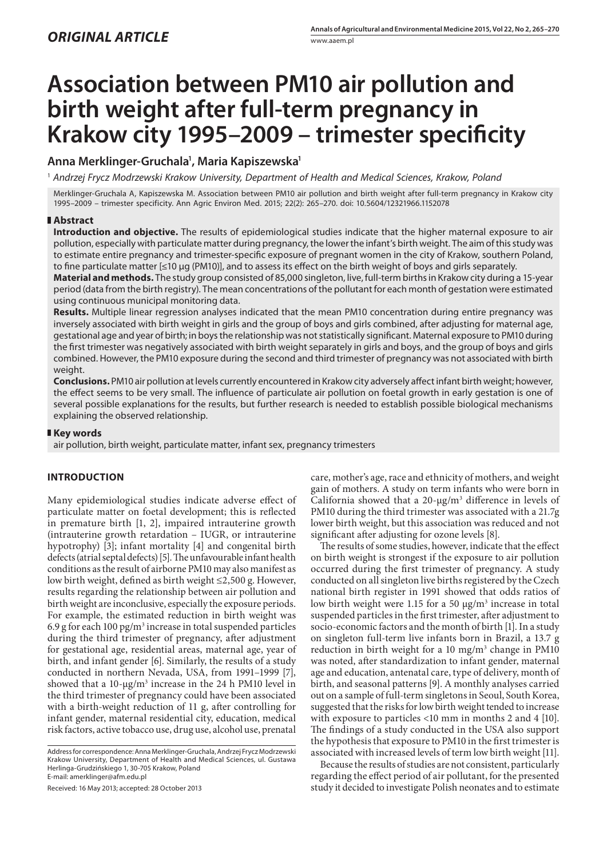# **Association between PM10 air pollution and birth weight after full-term pregnancy in Krakow city 1995–2009 – trimester specificity**

# **Anna Merklinger-Gruchala1 , Maria Kapiszewska1**

1  *Andrzej Frycz Modrzewski Krakow University, Department of Health and Medical Sciences, Krakow, Poland*

Merklinger-Gruchala A, Kapiszewska M. Association between PM10 air pollution and birth weight after full-term pregnancy in Krakow city 1995–2009 – trimester specificity. Ann Agric Environ Med. 2015; 22(2): 265–270. doi: 10.5604/12321966.1152078

# **Abstract**

**Introduction and objective.** The results of epidemiological studies indicate that the higher maternal exposure to air pollution, especially with particulate matter during pregnancy, the lower the infant's birth weight. The aim of this study was to estimate entire pregnancy and trimester-specific exposure of pregnant women in the city of Krakow, southern Poland, to fine particulate matter [≤10 µg (PM10)], and to assess its effect on the birth weight of boys and girls separately.

**Material and methods.** The study group consisted of 85,000 singleton, live, full-term births in Krakow city during a 15-year period (data from the birth registry). The mean concentrations of the pollutant for each month of gestation were estimated using continuous municipal monitoring data.

**Results.** Multiple linear regression analyses indicated that the mean PM10 concentration during entire pregnancy was inversely associated with birth weight in girls and the group of boys and girls combined, after adjusting for maternal age, gestational age and year of birth; in boys the relationship was not statistically significant. Maternal exposure to PM10 during the first trimester was negatively associated with birth weight separately in girls and boys, and the group of boys and girls combined. However, the PM10 exposure during the second and third trimester of pregnancy was not associated with birth weight.

**Conclusions.** PM10 air pollution at levels currently encountered in Krakow city adversely affect infant birth weight; however, the effect seems to be very small. The influence of particulate air pollution on foetal growth in early gestation is one of several possible explanations for the results, but further research is needed to establish possible biological mechanisms explaining the observed relationship.

## **Key words**

air pollution, birth weight, particulate matter, infant sex, pregnancy trimesters

# **INTRODUCTION**

Many epidemiological studies indicate adverse effect of particulate matter on foetal development; this is reflected in premature birth [1, 2], impaired intrauterine growth (intrauterine growth retardation – IUGR, or intrauterine hypotrophy) [3]; infant mortality [4] and congenital birth defects (atrial septal defects) [5]. The unfavourable infant health conditions as the result of airborne PM10 may also manifest as low birth weight, defined as birth weight ≤2,500 g. However, results regarding the relationship between air pollution and birth weight are inconclusive, especially the exposure periods. For example, the estimated reduction in birth weight was 6.9 g for each  $100 \,\mathrm{pg/m^3}$  increase in total suspended particles during the third trimester of pregnancy, after adjustment for gestational age, residential areas, maternal age, year of birth, and infant gender [6]. Similarly, the results of a study conducted in northern Nevada, USA, from 1991–1999 [7], showed that a  $10$ - $\mu$ g/m<sup>3</sup> increase in the 24 h PM10 level in the third trimester of pregnancy could have been associated with a birth-weight reduction of 11 g, after controlling for infant gender, maternal residential city, education, medical risk factors, active tobacco use, drug use, alcohol use, prenatal

Received: 16 May 2013; accepted: 28 October 2013

care, mother's age, race and ethnicity of mothers, and weight gain of mothers. A study on term infants who were born in California showed that a  $20$ - $\mu$ g/m<sup>3</sup> difference in levels of PM10 during the third trimester was associated with a 21.7g lower birth weight, but this association was reduced and not significant after adjusting for ozone levels [8].

The results of some studies, however, indicate that the effect on birth weight is strongest if the exposure to air pollution occurred during the first trimester of pregnancy. A study conducted on all singleton live births registered by the Czech national birth register in 1991 showed that odds ratios of low birth weight were 1.15 for a 50 µg/m<sup>3</sup> increase in total suspended particles in the first trimester, after adjustment to socio-economic factors and the month of birth [1]. In a study on singleton full-term live infants born in Brazil, a 13.7 g reduction in birth weight for a 10 mg/m<sup>3</sup> change in PM10 was noted, after standardization to infant gender, maternal age and education, antenatal care, type of delivery, month of birth, and seasonal patterns [9]. A monthly analyses carried out on a sample of full-term singletons in Seoul, South Korea, suggested that the risks for low birth weight tended to increase with exposure to particles <10 mm in months 2 and 4 [10]. The findings of a study conducted in the USA also support the hypothesis that exposure to PM10 in the first trimester is associated with increased levels of term low birth weight [11].

Because the results of studies are not consistent, particularly regarding the effect period of air pollutant, for the presented study it decided to investigate Polish neonates and to estimate

Address for correspondence: Anna Merklinger-Gruchala, Andrzej Frycz Modrzewski Krakow University, Department of Health and Medical Sciences, ul. Gustawa Herlinga-Grudzińskiego 1, 30-705 Krakow, Poland E-mail: amerklinger@afm.edu.pl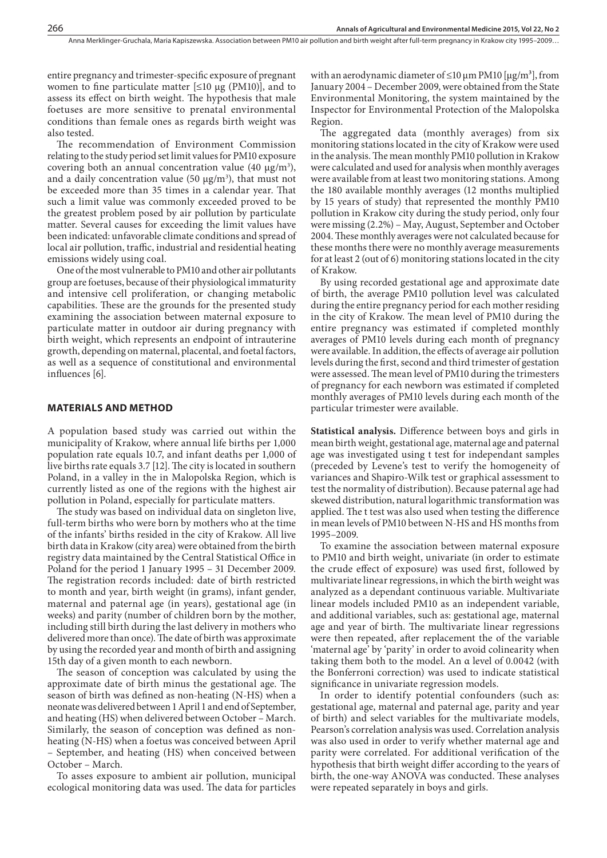entire pregnancy and trimester-specific exposure of pregnant women to fine particulate matter  $\leq 10 \mu$ g (PM10), and to assess its effect on birth weight. The hypothesis that male foetuses are more sensitive to prenatal environmental conditions than female ones as regards birth weight was also tested.

The recommendation of Environment Commission relating to the study period set limit values for PM10 exposure covering both an annual concentration value (40 μg/m<sup>3</sup>), and a daily concentration value (50  $\mu$ g/m<sup>3</sup>), that must not be exceeded more than 35 times in a calendar year. That such a limit value was commonly exceeded proved to be the greatest problem posed by air pollution by particulate matter. Several causes for exceeding the limit values have been indicated: unfavorable climate conditions and spread of local air pollution, traffic, industrial and residential heating emissions widely using coal.

One of the most vulnerable to PM10 and other air pollutants group are foetuses, because of their physiological immaturity and intensive cell proliferation, or changing metabolic capabilities. These are the grounds for the presented study examining the association between maternal exposure to particulate matter in outdoor air during pregnancy with birth weight, which represents an endpoint of intrauterine growth, depending on maternal, placental, and foetal factors, as well as a sequence of constitutional and environmental influences [6].

#### **MATERIALS AND METHOD**

A population based study was carried out within the municipality of Krakow, where annual life births per 1,000 population rate equals 10.7, and infant deaths per 1,000 of live births rate equals 3.7 [12]. The city is located in southern Poland, in a valley in the in Malopolska Region, which is currently listed as one of the regions with the highest air pollution in Poland, especially for particulate matters.

The study was based on individual data on singleton live, full-term births who were born by mothers who at the time of the infants' births resided in the city of Krakow. All live birth data in Krakow (city area) were obtained from the birth registry data maintained by the Central Statistical Office in Poland for the period 1 January 1995 – 31 December 2009. The registration records included: date of birth restricted to month and year, birth weight (in grams), infant gender, maternal and paternal age (in years), gestational age (in weeks) and parity (number of children born by the mother, including still birth during the last delivery in mothers who delivered more than once). The date of birth was approximate by using the recorded year and month of birth and assigning 15th day of a given month to each newborn.

The season of conception was calculated by using the approximate date of birth minus the gestational age. The season of birth was defined as non-heating (N-HS) when a neonate was delivered between 1 April 1 and end of September, and heating (HS) when delivered between October – March. Similarly, the season of conception was defined as nonheating (N-HS) when a foetus was conceived between April – September, and heating (HS) when conceived between October – March.

To asses exposure to ambient air pollution, municipal ecological monitoring data was used. The data for particles with an aerodynamic diameter of  $\leq 10 \,\mu m$  PM10 [ $\mu$ g/m<sup>3</sup>], from January 2004 – December 2009, were obtained from the State Environmental Monitoring, the system maintained by the Inspector for Environmental Protection of the Malopolska Region.

The aggregated data (monthly averages) from six monitoring stations located in the city of Krakow were used in the analysis. The mean monthly PM10 pollution in Krakow were calculated and used for analysis when monthly averages were available from at least two monitoring stations. Among the 180 available monthly averages (12 months multiplied by 15 years of study) that represented the monthly PM10 pollution in Krakow city during the study period, only four were missing (2.2%) – May, August, September and October 2004. These monthly averages were not calculated because for these months there were no monthly average measurements for at least 2 (out of 6) monitoring stations located in the city of Krakow.

By using recorded gestational age and approximate date of birth, the average PM10 pollution level was calculated during the entire pregnancy period for each mother residing in the city of Krakow. The mean level of PM10 during the entire pregnancy was estimated if completed monthly averages of PM10 levels during each month of pregnancy were available. In addition, the effects of average air pollution levels during the first, second and third trimester of gestation were assessed. The mean level of PM10 during the trimesters of pregnancy for each newborn was estimated if completed monthly averages of PM10 levels during each month of the particular trimester were available.

**Statistical analysis.** Difference between boys and girls in mean birth weight, gestational age, maternal age and paternal age was investigated using t test for independant samples (preceded by Levene's test to verify the homogeneity of variances and Shapiro-Wilk test or graphical assessment to test the normality of distribution). Because paternal age had skewed distribution, natural logarithmic transformation was applied. The t test was also used when testing the difference in mean levels of PM10 between N-HS and HS months from 1995–2009.

To examine the association between maternal exposure to PM10 and birth weight, univariate (in order to estimate the crude effect of exposure) was used first, followed by multivariate linear regressions, in which the birth weight was analyzed as a dependant continuous variable. Multivariate linear models included PM10 as an independent variable, and additional variables, such as: gestational age, maternal age and year of birth. The multivariate linear regressions were then repeated, after replacement the of the variable 'maternal age' by 'parity' in order to avoid colinearity when taking them both to the model. An α level of 0.0042 (with the Bonferroni correction) was used to indicate statistical significance in univariate regression models.

In order to identify potential confounders (such as: gestational age, maternal and paternal age, parity and year of birth) and select variables for the multivariate models, Pearson's correlation analysis was used. Correlation analysis was also used in order to verify whether maternal age and parity were correlated. For additional verification of the hypothesis that birth weight differ according to the years of birth, the one-way ANOVA was conducted. These analyses were repeated separately in boys and girls.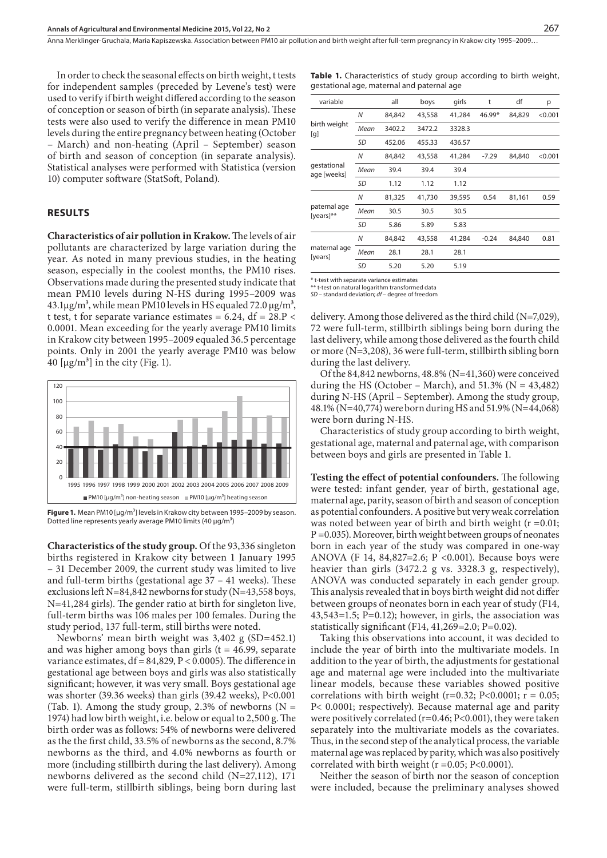Anna Merklinger-Gruchala, Maria Kapiszewska . Association between PM10 air pollution and birth weight after full-term pregnancy in Krakow city 1995–2009…

In order to check the seasonal effects on birth weight, t tests for independent samples (preceded by Levene's test) were used to verify if birth weight differed according to the season of conception or season of birth (in separate analysis). These tests were also used to verify the difference in mean PM10 levels during the entire pregnancy between heating (October – March) and non-heating (April – September) season of birth and season of conception (in separate analysis). Statistical analyses were performed with Statistica (version 10) computer software (StatSoft, Poland).

## **RESULTS**

**Characteristics of air pollution in Krakow.** The levels of air pollutants are characterized by large variation during the year. As noted in many previous studies, in the heating season, especially in the coolest months, the PM10 rises. Observations made during the presented study indicate that mean PM10 levels during N-HS during 1995–2009 was  $43.1\mu$ g/m<sup>3</sup>, while mean PM10 levels in HS equaled 72.0  $\mu$ g/m<sup>3</sup>, t test, t for separate variance estimates =  $6.24$ , df =  $28.P <$ 0.0001. Mean exceeding for the yearly average PM10 limits in Krakow city between 1995–2009 equaled 36.5 percentage points. Only in 2001 the yearly average PM10 was below 40  $\left[\mu g/m^3\right]$  in the city (Fig. 1).



**Figure 1.** Mean PM10 [μg/m<sup>3</sup>] levels in Krakow city between 1995–2009 by season. Dotted line represents yearly average PM10 limits (40  $\mu$ q/m<sup>3</sup>)

**Characteristics of the study group.** Of the 93,336 singleton births registered in Krakow city between 1 January 1995 – 31 December 2009, the current study was limited to live and full-term births (gestational age 37 – 41 weeks). These exclusions left N=84,842 newborns for study (N=43,558 boys, N=41,284 girls). The gender ratio at birth for singleton live, full-term births was 106 males per 100 females. During the study period, 137 full-term, still births were noted.

Newborns' mean birth weight was 3,402 g (SD=452.1) and was higher among boys than girls  $(t = 46.99,$  separate variance estimates, df = 84,829, P < 0.0005). The difference in gestational age between boys and girls was also statistically significant; however, it was very small. Boys gestational age was shorter (39.36 weeks) than girls (39.42 weeks), P<0.001 (Tab. 1). Among the study group, 2.3% of newborns  $(N =$ 1974) had low birth weight, i.e. below or equal to 2,500 g. The birth order was as follows: 54% of newborns were delivered as the the first child, 33.5% of newborns as the second, 8.7% newborns as the third, and 4.0% newborns as fourth or more (including stillbirth during the last delivery). Among newborns delivered as the second child (N=27,112), 171 were full-term, stillbirth siblings, being born during last

| <b>Table 1.</b> Characteristics of study group according to birth weight, |  |  |  |
|---------------------------------------------------------------------------|--|--|--|
| gestational age, maternal and paternal age                                |  |  |  |

| variable                     |           | all    | boys   | girls  | t       | df     | р       |
|------------------------------|-----------|--------|--------|--------|---------|--------|---------|
|                              | N         | 84,842 | 43,558 | 41,284 | 46.99*  | 84,829 | < 0.001 |
| birth weight<br>[g]          | Mean      | 3402.2 | 3472.2 | 3328.3 |         |        |         |
|                              | SD        | 452.06 | 455.33 | 436.57 |         |        |         |
| qestational<br>age [weeks]   | N         | 84,842 | 43,558 | 41,284 | $-7.29$ | 84,840 | < 0.001 |
|                              | Mean      | 39.4   | 39.4   | 39.4   |         |        |         |
|                              | SD        | 1.12   | 1.12   | 1.12   |         |        |         |
| paternal age<br>[years] $**$ | N         | 81,325 | 41,730 | 39,595 | 0.54    | 81,161 | 0.59    |
|                              | Mean      | 30.5   | 30.5   | 30.5   |         |        |         |
|                              | <b>SD</b> | 5.86   | 5.89   | 5.83   |         |        |         |
| maternal age<br>[years]      | Ν         | 84,842 | 43,558 | 41,284 | $-0.24$ | 84,840 | 0.81    |
|                              | Mean      | 28.1   | 28.1   | 28.1   |         |        |         |
|                              | SD        | 5.20   | 5.20   | 5.19   |         |        |         |
|                              |           |        |        |        |         |        |         |

t-test with separate variance estimates

\*\* t-test on natural logarithm transformed data *SD –* standard deviation; *df –* degree of freedom

delivery. Among those delivered as the third child (N=7,029), 72 were full-term, stillbirth siblings being born during the last delivery, while among those delivered as the fourth child or more (N=3,208), 36 were full-term, stillbirth sibling born during the last delivery.

Of the 84,842 newborns, 48.8% (N=41,360) were conceived during the HS (October – March), and  $51.3\%$  (N =  $43,482$ ) during N-HS (April – September). Among the study group, 48.1% (N=40,774) were born during HS and 51.9% (N=44,068) were born during N-HS.

Characteristics of study group according to birth weight, gestational age, maternal and paternal age, with comparison between boys and girls are presented in Table 1.

**Testing the effect of potential confounders.** The following were tested: infant gender, year of birth, gestational age, maternal age, parity, season of birth and season of conception as potential confounders. A positive but very weak correlation was noted between year of birth and birth weight  $(r = 0.01;$ P =0.035). Moreover, birth weight between groups of neonates born in each year of the study was compared in one-way ANOVA (F 14, 84,827=2.6; P <0.001). Because boys were heavier than girls (3472.2 g vs. 3328.3 g, respectively), ANOVA was conducted separately in each gender group. This analysis revealed that in boys birth weight did not differ between groups of neonates born in each year of study (F14, 43,543=1.5; P=0.12); however, in girls, the association was statistically significant (F14, 41,269=2.0; P=0.02).

Taking this observations into account, it was decided to include the year of birth into the multivariate models. In addition to the year of birth, the adjustments for gestational age and maternal age were included into the multivariate linear models, because these variables showed positive correlations with birth weight (r=0.32; P<0.0001;  $r = 0.05$ ; P< 0.0001; respectively). Because maternal age and parity were positively correlated (r=0.46; P<0.001), they were taken separately into the multivariate models as the covariates. Thus, in the second step of the analytical process, the variable maternal age was replaced by parity, which was also positively correlated with birth weight ( $r = 0.05$ ; P<0.0001).

Neither the season of birth nor the season of conception were included, because the preliminary analyses showed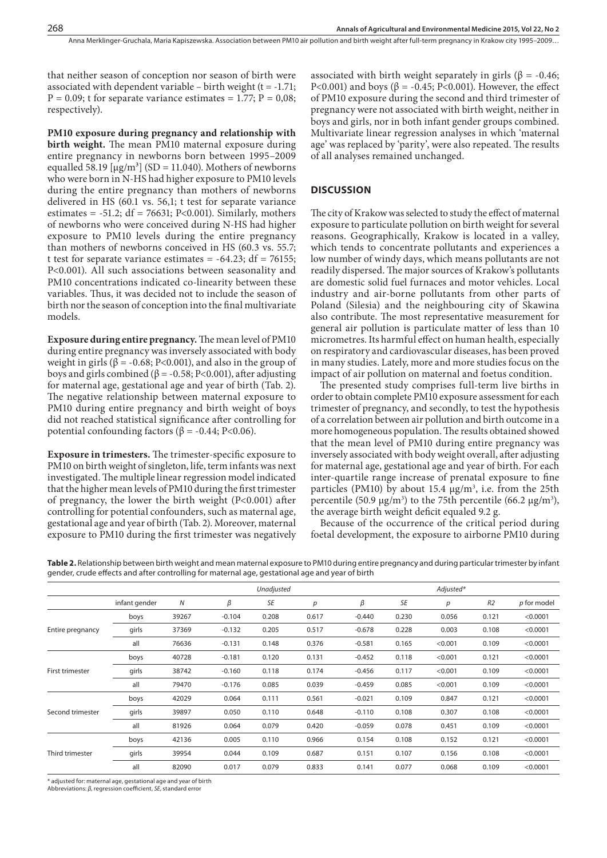that neither season of conception nor season of birth were associated with dependent variable – birth weight  $(t = -1.71)$ ;  $P = 0.09$ ; t for separate variance estimates = 1.77;  $P = 0.08$ ; respectively).

**PM10 exposure during pregnancy and relationship with birth weight.** The mean PM10 maternal exposure during entire pregnancy in newborns born between 1995–2009 equalled 58.19  $[\mu g/m^3]$  (SD = 11.040). Mothers of newborns who were born in N-HS had higher exposure to PM10 levels during the entire pregnancy than mothers of newborns delivered in HS (60.1 vs. 56,1; t test for separate variance estimates =  $-51.2$ ; df = 76631; P<0.001). Similarly, mothers of newborns who were conceived during N-HS had higher exposure to PM10 levels during the entire pregnancy than mothers of newborns conceived in HS (60.3 vs. 55.7; t test for separate variance estimates  $= -64.23$ ; df  $= 76155$ ; P<0.001). All such associations between seasonality and PM10 concentrations indicated co-linearity between these variables. Thus, it was decided not to include the season of birth nor the season of conception into the final multivariate models.

**Exposure during entire pregnancy.** The mean level of PM10 during entire pregnancy was inversely associated with body weight in girls ( $\beta$  = -0.68; P<0.001), and also in the group of boys and girls combined ( $β = -0.58$ ; P<0.001), after adjusting for maternal age, gestational age and year of birth (Tab. 2). The negative relationship between maternal exposure to PM10 during entire pregnancy and birth weight of boys did not reached statistical significance after controlling for potential confounding factors ( $β = -0.44; P < 0.06$ ).

**Exposure in trimesters.** The trimester-specific exposure to PM10 on birth weight of singleton, life, term infants was next investigated. The multiple linear regression model indicated that the higher mean levels of PM10 during the first trimester of pregnancy, the lower the birth weight (P<0.001) after controlling for potential confounders, such as maternal age, gestational age and year of birth (Tab. 2). Moreover, maternal exposure to PM10 during the first trimester was negatively

associated with birth weight separately in girls ( $\beta$  = -0.46; P<0.001) and boys ( $\beta$  = -0.45; P<0.001). However, the effect of PM10 exposure during the second and third trimester of pregnancy were not associated with birth weight, neither in boys and girls, nor in both infant gender groups combined. Multivariate linear regression analyses in which 'maternal age' was replaced by 'parity', were also repeated. The results of all analyses remained unchanged.

### **DISCUSSION**

The city of Krakow was selected to study the effect of maternal exposure to particulate pollution on birth weight for several reasons. Geographically, Krakow is located in a valley, which tends to concentrate pollutants and experiences a low number of windy days, which means pollutants are not readily dispersed. The major sources of Krakow's pollutants are domestic solid fuel furnaces and motor vehicles. Local industry and air-borne pollutants from other parts of Poland (Silesia) and the neighbouring city of Skawina also contribute. The most representative measurement for general air pollution is particulate matter of less than 10 micrometres. Its harmful effect on human health, especially on respiratory and cardiovascular diseases, has been proved in many studies. Lately, more and more studies focus on the impact of air pollution on maternal and foetus condition.

The presented study comprises full-term live births in order to obtain complete PM10 exposure assessment for each trimester of pregnancy, and secondly, to test the hypothesis of a correlation between air pollution and birth outcome in a more homogeneous population. The results obtained showed that the mean level of PM10 during entire pregnancy was inversely associated with body weight overall, after adjusting for maternal age, gestational age and year of birth. For each inter-quartile range increase of prenatal exposure to fine particles (PM10) by about 15.4  $\mu$ g/m<sup>3</sup>, i.e. from the 25th percentile (50.9  $\mu$ g/m<sup>3</sup>) to the 75th percentile (66.2  $\mu$ g/m<sup>3</sup>), the average birth weight deficit equaled 9.2 g.

Because of the occurrence of the critical period during foetal development, the exposure to airborne PM10 during

|                  |               |       | Unadjusted |       |       |          | Adjusted* |         |                |             |
|------------------|---------------|-------|------------|-------|-------|----------|-----------|---------|----------------|-------------|
|                  | infant gender | Ν     | β          | SE    | p     | β        | SE        | р       | R <sub>2</sub> | p for model |
|                  | boys          | 39267 | $-0.104$   | 0.208 | 0.617 | $-0.440$ | 0.230     | 0.056   | 0.121          | < 0.0001    |
| Entire pregnancy | girls         | 37369 | $-0.132$   | 0.205 | 0.517 | $-0.678$ | 0.228     | 0.003   | 0.108          | < 0.0001    |
|                  | all           | 76636 | $-0.131$   | 0.148 | 0.376 | $-0.581$ | 0.165     | < 0.001 | 0.109          | < 0.0001    |
|                  | boys          | 40728 | $-0.181$   | 0.120 | 0.131 | $-0.452$ | 0.118     | < 0.001 | 0.121          | < 0.0001    |
| First trimester  | girls         | 38742 | $-0.160$   | 0.118 | 0.174 | $-0.456$ | 0.117     | < 0.001 | 0.109          | < 0.0001    |
|                  | all           | 79470 | $-0.176$   | 0.085 | 0.039 | $-0.459$ | 0.085     | < 0.001 | 0.109          | < 0.0001    |
|                  | boys          | 42029 | 0.064      | 0.111 | 0.561 | $-0.021$ | 0.109     | 0.847   | 0.121          | < 0.0001    |
| Second trimester | girls         | 39897 | 0.050      | 0.110 | 0.648 | $-0.110$ | 0.108     | 0.307   | 0.108          | < 0.0001    |
|                  | all           | 81926 | 0.064      | 0.079 | 0.420 | $-0.059$ | 0.078     | 0.451   | 0.109          | < 0.0001    |
|                  | boys          | 42136 | 0.005      | 0.110 | 0.966 | 0.154    | 0.108     | 0.152   | 0.121          | < 0.0001    |
| Third trimester  | girls         | 39954 | 0.044      | 0.109 | 0.687 | 0.151    | 0.107     | 0.156   | 0.108          | < 0.0001    |
|                  | all           | 82090 | 0.017      | 0.079 | 0.833 | 0.141    | 0.077     | 0.068   | 0.109          | < 0.0001    |

**Table 2.** Relationship between birth weight and mean maternal exposure to PM10 during entire pregnancy and during particular trimester by infant gender, crude effects and after controlling for maternal age, gestational age and year of birth

\* adjusted for: maternal age, gestational age and year of birth

Abbreviations: *β,* regression coefficient*, SE,* standard error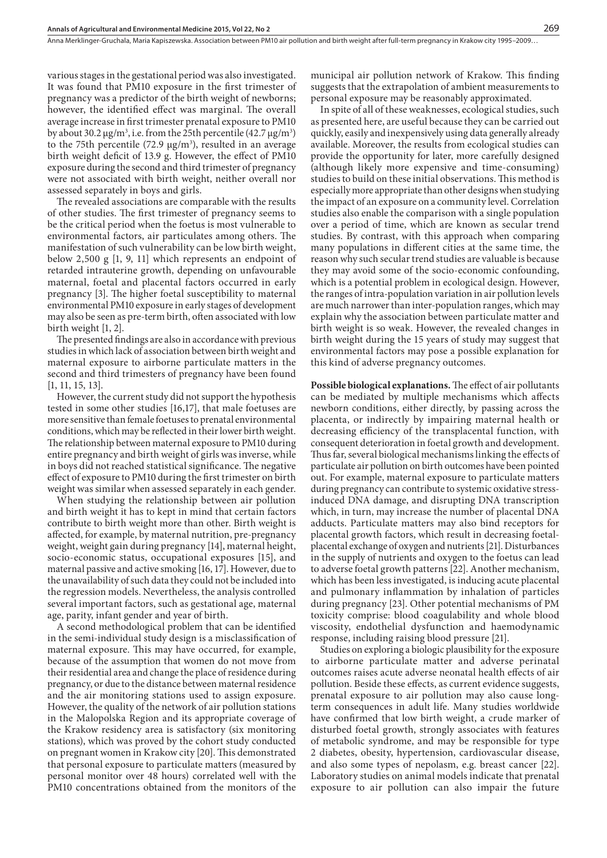various stages in the gestational period was also investigated. It was found that PM10 exposure in the first trimester of pregnancy was a predictor of the birth weight of newborns; however, the identified effect was marginal. The overall average increase in first trimester prenatal exposure to PM10 by about 30.2  $\mu$ g/m<sup>3</sup>, i.e. from the 25th percentile (42.7  $\mu$ g/m<sup>3</sup>) to the 75th percentile (72.9  $\mu$ g/m<sup>3</sup>), resulted in an average birth weight deficit of 13.9 g. However, the effect of PM10 exposure during the second and third trimester of pregnancy were not associated with birth weight, neither overall nor assessed separately in boys and girls.

The revealed associations are comparable with the results of other studies. The first trimester of pregnancy seems to be the critical period when the foetus is most vulnerable to environmental factors, air particulates among others. The manifestation of such vulnerability can be low birth weight, below 2,500  $g$  [1, 9, 11] which represents an endpoint of retarded intrauterine growth, depending on unfavourable maternal, foetal and placental factors occurred in early pregnancy [3]. The higher foetal susceptibility to maternal environmental PM10 exposure in early stages of development may also be seen as pre-term birth, often associated with low birth weight [1, 2].

The presented findings are also in accordance with previous studies in which lack of association between birth weight and maternal exposure to airborne particulate matters in the second and third trimesters of pregnancy have been found [1, 11, 15, 13].

However, the current study did not support the hypothesis tested in some other studies [16,17], that male foetuses are more sensitive than female foetuses to prenatal environmental conditions, which may be reflected in their lower birth weight. The relationship between maternal exposure to PM10 during entire pregnancy and birth weight of girls was inverse, while in boys did not reached statistical significance. The negative effect of exposure to PM10 during the first trimester on birth weight was similar when assessed separately in each gender.

When studying the relationship between air pollution and birth weight it has to kept in mind that certain factors contribute to birth weight more than other. Birth weight is affected, for example, by maternal nutrition, pre-pregnancy weight, weight gain during pregnancy [14], maternal height, socio-economic status, occupational exposures [15], and maternal passive and active smoking [16, 17]. However, due to the unavailability of such data they could not be included into the regression models. Nevertheless, the analysis controlled several important factors, such as gestational age, maternal age, parity, infant gender and year of birth.

A second methodological problem that can be identified in the semi-individual study design is a misclassification of maternal exposure. This may have occurred, for example, because of the assumption that women do not move from their residential area and change the place of residence during pregnancy, or due to the distance between maternal residence and the air monitoring stations used to assign exposure. However, the quality of the network of air pollution stations in the Malopolska Region and its appropriate coverage of the Krakow residency area is satisfactory (six monitoring stations), which was proved by the cohort study conducted on pregnant women in Krakow city [20]. This demonstrated that personal exposure to particulate matters (measured by personal monitor over 48 hours) correlated well with the PM10 concentrations obtained from the monitors of the

municipal air pollution network of Krakow. This finding suggests that the extrapolation of ambient measurements to personal exposure may be reasonably approximated.

In spite of all of these weaknesses, ecological studies, such as presented here, are useful because they can be carried out quickly, easily and inexpensively using data generally already available. Moreover, the results from ecological studies can provide the opportunity for later, more carefully designed (although likely more expensive and time-consuming) studies to build on these initial observations. This method is especially more appropriate than other designs when studying the impact of an exposure on a community level. Correlation studies also enable the comparison with a single population over a period of time, which are known as secular trend studies. By contrast, with this approach when comparing many populations in different cities at the same time, the reason why such secular trend studies are valuable is because they may avoid some of the socio-economic confounding, which is a potential problem in ecological design. However, the ranges of intra-population variation in air pollution levels are much narrower than inter-population ranges, which may explain why the association between particulate matter and birth weight is so weak. However, the revealed changes in birth weight during the 15 years of study may suggest that environmental factors may pose a possible explanation for this kind of adverse pregnancy outcomes.

**Possible biological explanations.** The effect of air pollutants can be mediated by multiple mechanisms which affects newborn conditions, either directly, by passing across the placenta, or indirectly by impairing maternal health or decreasing efficiency of the transplacental function, with consequent deterioration in foetal growth and development. Thus far, several biological mechanisms linking the effects of particulate air pollution on birth outcomes have been pointed out. For example, maternal exposure to particulate matters during pregnancy can contribute to systemic oxidative stressinduced DNA damage, and disrupting DNA transcription which, in turn, may increase the number of placental DNA adducts. Particulate matters may also bind receptors for placental growth factors, which result in decreasing foetalplacental exchange of oxygen and nutrients [21]. Disturbances in the supply of nutrients and oxygen to the foetus can lead to adverse foetal growth patterns [22]. Another mechanism, which has been less investigated, is inducing acute placental and pulmonary inflammation by inhalation of particles during pregnancy [23]. Other potential mechanisms of PM toxicity comprise: blood coagulability and whole blood viscosity, endothelial dysfunction and haemodynamic response, including raising blood pressure [21].

Studies on exploring a biologic plausibility for the exposure to airborne particulate matter and adverse perinatal outcomes raises acute adverse neonatal health effects of air pollution. Beside these effects, as current evidence suggests, prenatal exposure to air pollution may also cause longterm consequences in adult life. Many studies worldwide have confirmed that low birth weight, a crude marker of disturbed foetal growth, strongly associates with features of metabolic syndrome, and may be responsible for type 2 diabetes, obesity, hypertension, cardiovascular disease, and also some types of nepolasm, e.g. breast cancer [22]. Laboratory studies on animal models indicate that prenatal exposure to air pollution can also impair the future